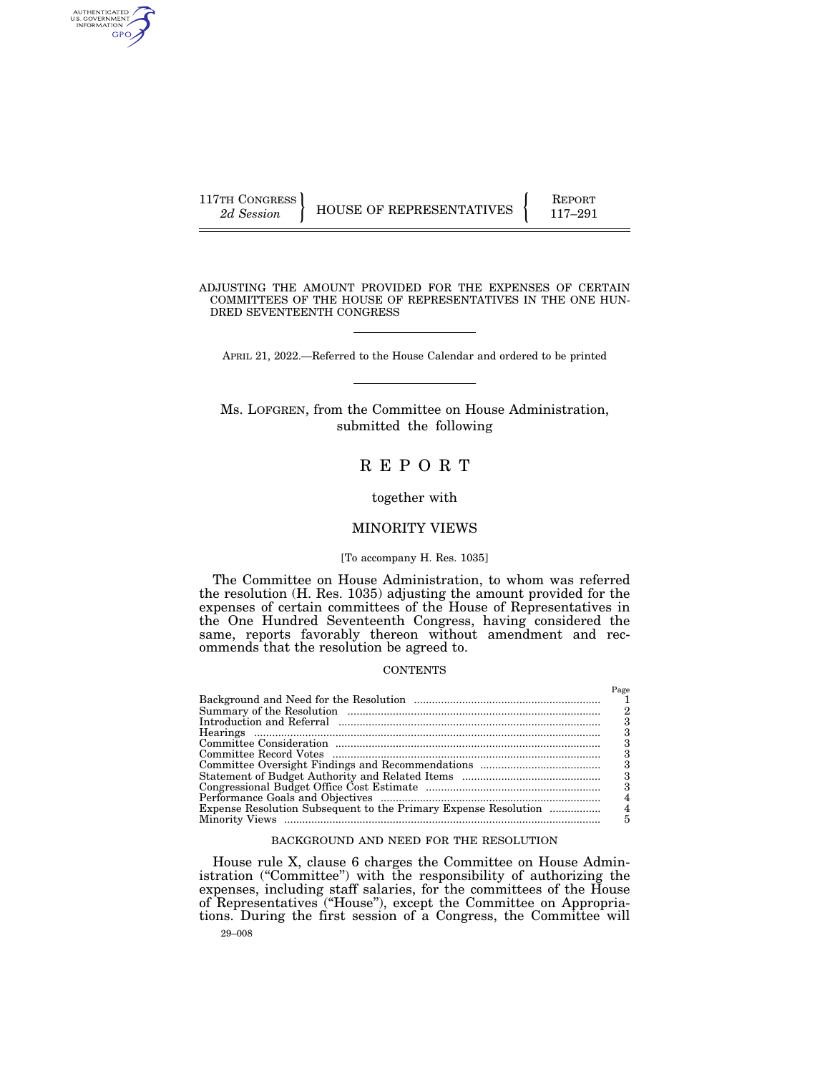| 117TH CONGRESS' | HOUSE OF REPRESENTATIVES | <b>REPORT</b> |
|-----------------|--------------------------|---------------|
| 2d Session      |                          | $117 - 291$   |

AUTHENTICATED<br>U.S. GOVERNMENT<br>INFORMATION GPO

> ADJUSTING THE AMOUNT PROVIDED FOR THE EXPENSES OF CERTAIN COMMITTEES OF THE HOUSE OF REPRESENTATIVES IN THE ONE HUN-DRED SEVENTEENTH CONGRESS

APRIL 21, 2022.—Referred to the House Calendar and ordered to be printed

Ms. LOFGREN, from the Committee on House Administration, submitted the following

# R E P O R T

# together with

# MINORITY VIEWS

# [To accompany H. Res. 1035]

The Committee on House Administration, to whom was referred the resolution (H. Res. 1035) adjusting the amount provided for the expenses of certain committees of the House of Representatives in the One Hundred Seventeenth Congress, having considered the same, reports favorably thereon without amendment and recommends that the resolution be agreed to.

# **CONTENTS**

|                                                                 | Page |
|-----------------------------------------------------------------|------|
|                                                                 |      |
|                                                                 |      |
|                                                                 |      |
|                                                                 |      |
|                                                                 |      |
|                                                                 | 3    |
|                                                                 | 3    |
|                                                                 | 3    |
|                                                                 | 3    |
|                                                                 | 4    |
| Expense Resolution Subsequent to the Primary Expense Resolution | 4    |
|                                                                 | 5    |

# BACKGROUND AND NEED FOR THE RESOLUTION

29–008 House rule X, clause 6 charges the Committee on House Administration ("Committee") with the responsibility of authorizing the expenses, including staff salaries, for the committees of the House of Representatives (''House''), except the Committee on Appropriations. During the first session of a Congress, the Committee will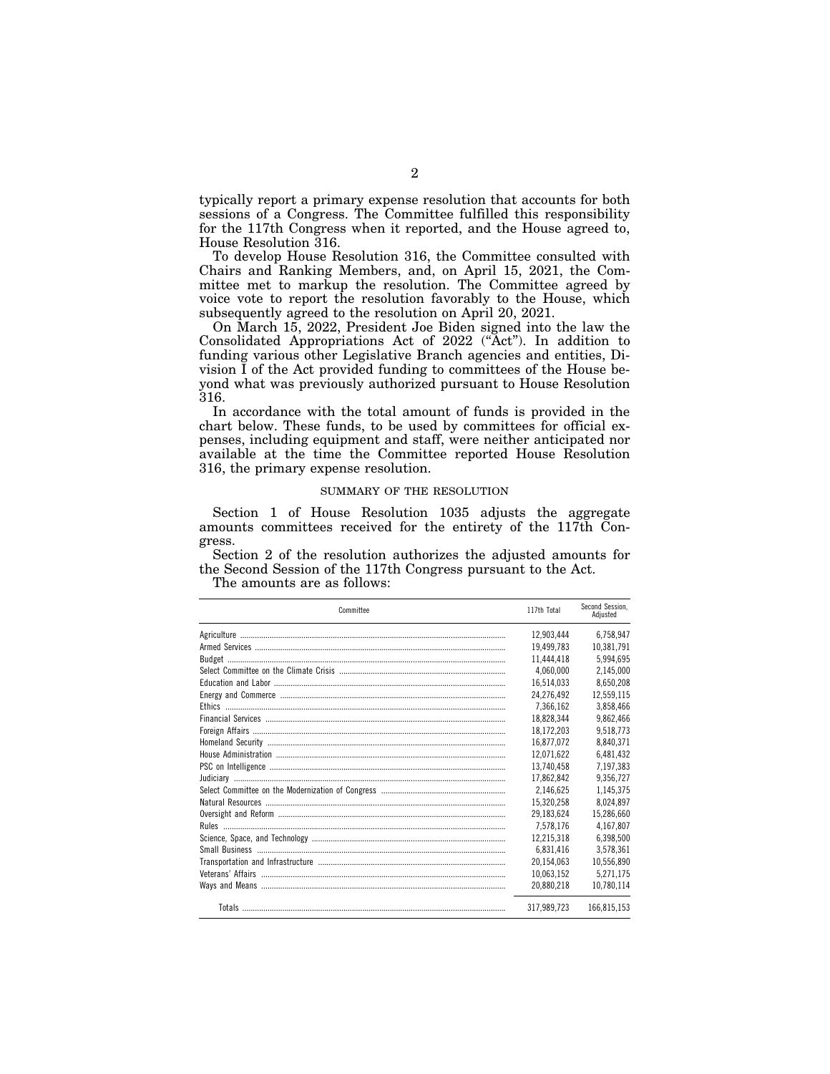typically report a primary expense resolution that accounts for both sessions of a Congress. The Committee fulfilled this responsibility for the 117th Congress when it reported, and the House agreed to, House Resolution 316.

To develop House Resolution 316, the Committee consulted with Chairs and Ranking Members, and, on April 15, 2021, the Committee met to markup the resolution. The Committee agreed by voice vote to report the resolution favorably to the House, which subsequently agreed to the resolution on April 20, 2021.

On March 15, 2022, President Joe Biden signed into the law the Consolidated Appropriations Act of 2022 (''Act''). In addition to funding various other Legislative Branch agencies and entities, Division I of the Act provided funding to committees of the House beyond what was previously authorized pursuant to House Resolution 316.

In accordance with the total amount of funds is provided in the chart below. These funds, to be used by committees for official expenses, including equipment and staff, were neither anticipated nor available at the time the Committee reported House Resolution 316, the primary expense resolution.

#### SUMMARY OF THE RESOLUTION

Section 1 of House Resolution 1035 adjusts the aggregate amounts committees received for the entirety of the 117th Congress.

Section 2 of the resolution authorizes the adjusted amounts for the Second Session of the 117th Congress pursuant to the Act.

The amounts are as follows:

| Committee | 117th Total | Second Session.<br>Adiusted |
|-----------|-------------|-----------------------------|
|           | 12,903,444  | 6,758,947                   |
|           | 19,499,783  | 10,381,791                  |
|           | 11,444,418  | 5,994,695                   |
|           | 4,060,000   | 2,145,000                   |
|           | 16,514,033  | 8,650,208                   |
|           | 24.276.492  | 12,559,115                  |
|           | 7,366,162   | 3,858,466                   |
|           | 18,828,344  | 9,862,466                   |
|           | 18,172,203  | 9,518,773                   |
|           | 16,877,072  | 8,840,371                   |
|           | 12.071.622  | 6,481,432                   |
|           | 13,740,458  | 7,197,383                   |
|           | 17,862,842  | 9,356,727                   |
|           | 2,146,625   | 1,145,375                   |
|           | 15,320,258  | 8,024,897                   |
|           | 29,183,624  | 15,286,660                  |
|           | 7,578,176   | 4,167,807                   |
|           | 12,215,318  | 6,398,500                   |
|           | 6,831,416   | 3,578,361                   |
|           | 20,154,063  | 10,556,890                  |
|           | 10,063,152  | 5,271,175                   |
|           | 20,880,218  | 10,780,114                  |
|           | 317,989,723 | 166,815,153                 |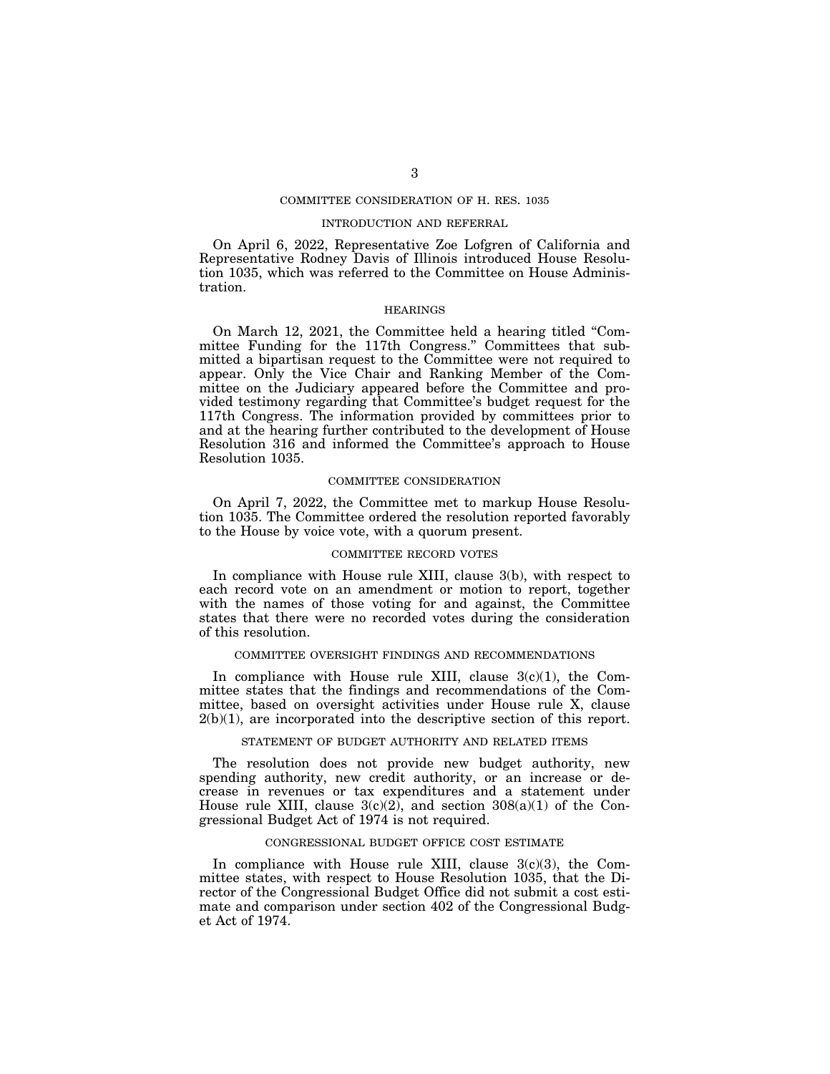# COMMITTEE CONSIDERATION OF H. RES. 1035

# INTRODUCTION AND REFERRAL

On April 6, 2022, Representative Zoe Lofgren of California and Representative Rodney Davis of Illinois introduced House Resolution 1035, which was referred to the Committee on House Administration.

#### HEARINGS

On March 12, 2021, the Committee held a hearing titled ''Committee Funding for the 117th Congress.'' Committees that submitted a bipartisan request to the Committee were not required to appear. Only the Vice Chair and Ranking Member of the Committee on the Judiciary appeared before the Committee and provided testimony regarding that Committee's budget request for the 117th Congress. The information provided by committees prior to and at the hearing further contributed to the development of House Resolution 316 and informed the Committee's approach to House Resolution 1035.

### COMMITTEE CONSIDERATION

On April 7, 2022, the Committee met to markup House Resolution 1035. The Committee ordered the resolution reported favorably to the House by voice vote, with a quorum present.

#### COMMITTEE RECORD VOTES

In compliance with House rule XIII, clause 3(b), with respect to each record vote on an amendment or motion to report, together with the names of those voting for and against, the Committee states that there were no recorded votes during the consideration of this resolution.

# COMMITTEE OVERSIGHT FINDINGS AND RECOMMENDATIONS

In compliance with House rule XIII, clause  $3(c)(1)$ , the Committee states that the findings and recommendations of the Committee, based on oversight activities under House rule X, clause  $2(b)(1)$ , are incorporated into the descriptive section of this report.

# STATEMENT OF BUDGET AUTHORITY AND RELATED ITEMS

The resolution does not provide new budget authority, new spending authority, new credit authority, or an increase or decrease in revenues or tax expenditures and a statement under House rule XIII, clause  $3(c)(2)$ , and section  $308(a)(1)$  of the Congressional Budget Act of 1974 is not required.

#### CONGRESSIONAL BUDGET OFFICE COST ESTIMATE

In compliance with House rule XIII, clause  $3(c)(3)$ , the Committee states, with respect to House Resolution 1035, that the Director of the Congressional Budget Office did not submit a cost estimate and comparison under section 402 of the Congressional Budget Act of 1974.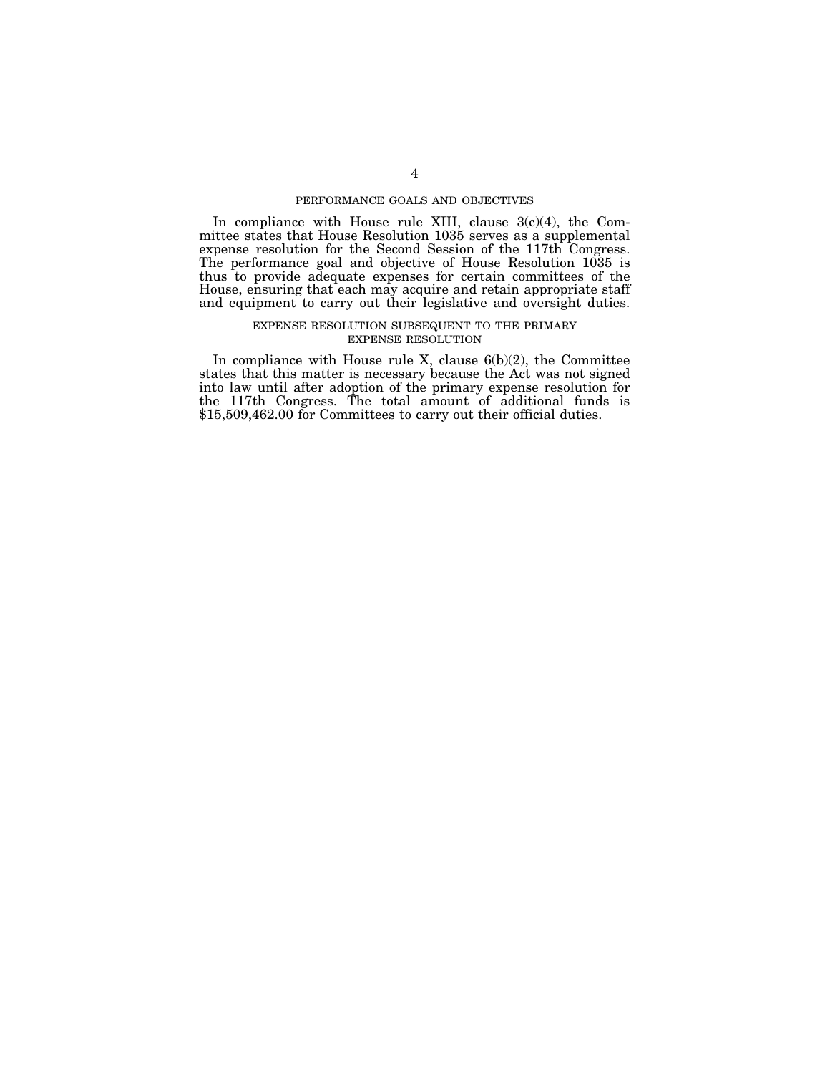# PERFORMANCE GOALS AND OBJECTIVES

In compliance with House rule XIII, clause 3(c)(4), the Committee states that House Resolution 1035 serves as a supplemental expense resolution for the Second Session of the 117th Congress. The performance goal and objective of House Resolution 1035 is thus to provide adequate expenses for certain committees of the House, ensuring that each may acquire and retain appropriate staff and equipment to carry out their legislative and oversight duties.

#### EXPENSE RESOLUTION SUBSEQUENT TO THE PRIMARY EXPENSE RESOLUTION

In compliance with House rule X, clause  $6(b)(2)$ , the Committee states that this matter is necessary because the Act was not signed into law until after adoption of the primary expense resolution for the 117th Congress. The total amount of additional funds is \$15,509,462.00 for Committees to carry out their official duties.